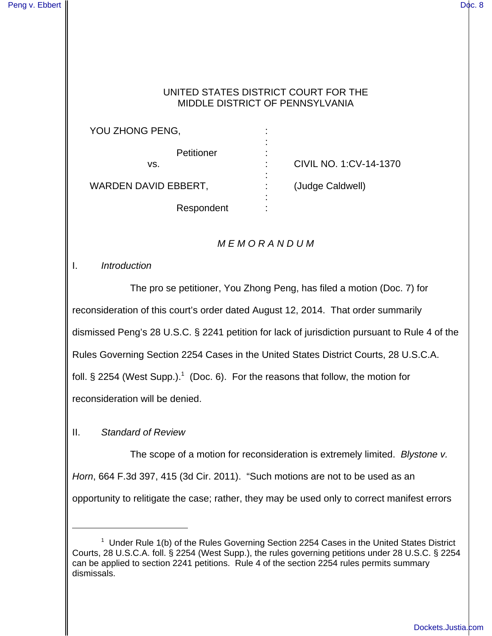## UNITED STATES DISTRICT COURT FOR THE MIDDLE DISTRICT OF PENNSYLVANIA

YOU ZHONG PENG, **Petitioner** vs. WARDEN DAVID EBBERT, : : : : : (Judge Caldwell) :

: CIVIL NO. 1:CV-14-1370

Respondent

:

## **MEMORANDUM**

I. Introduction

The pro se petitioner, You Zhong Peng, has filed a motion (Doc. 7) for reconsideration of this court's order dated August 12, 2014. That order summarily dismissed Peng's 28 U.S.C. § 2241 petition for lack of jurisdiction pursuant to Rule 4 of the Rules Governing Section 2254 Cases in the United States District Courts, 28 U.S.C.A. foll. § 2254 (West Supp.).<sup>1</sup> (Doc. 6). For the reasons that follow, the motion for reconsideration will be denied.

## II. Standard of Review

The scope of a motion for reconsideration is extremely limited. Blystone v. Horn, 664 F.3d 397, 415 (3d Cir. 2011). "Such motions are not to be used as an opportunity to relitigate the case; rather, they may be used only to correct manifest errors

<sup>&</sup>lt;sup>1</sup> Under Rule 1(b) of the Rules Governing Section 2254 Cases in the United States District Courts, 28 U.S.C.A. foll. § 2254 (West Supp.), the rules governing petitions under 28 U.S.C. § 2254 can be applied to section 2241 petitions. Rule 4 of the section 2254 rules permits summary dismissals.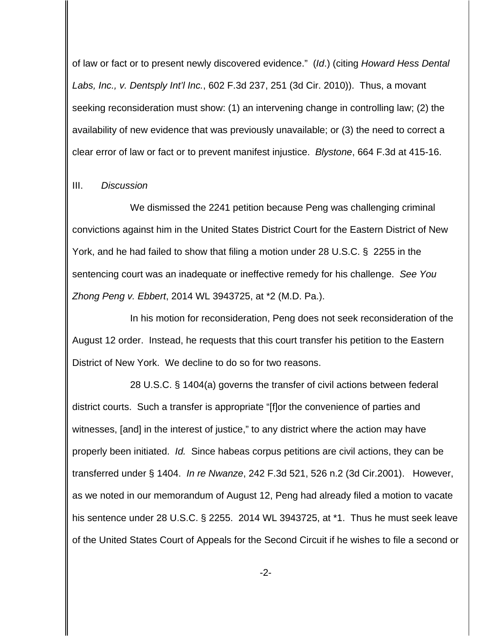of law or fact or to present newly discovered evidence." (Id.) (citing Howard Hess Dental Labs, Inc., v. Dentsply Int'l Inc., 602 F.3d 237, 251 (3d Cir. 2010)). Thus, a movant seeking reconsideration must show: (1) an intervening change in controlling law; (2) the availability of new evidence that was previously unavailable; or (3) the need to correct a clear error of law or fact or to prevent manifest injustice. Blystone, 664 F.3d at 415-16.

## III. Discussion

We dismissed the 2241 petition because Peng was challenging criminal convictions against him in the United States District Court for the Eastern District of New York, and he had failed to show that filing a motion under 28 U.S.C. § 2255 in the sentencing court was an inadequate or ineffective remedy for his challenge. See You Zhong Peng v. Ebbert, 2014 WL 3943725, at \*2 (M.D. Pa.).

In his motion for reconsideration, Peng does not seek reconsideration of the August 12 order. Instead, he requests that this court transfer his petition to the Eastern District of New York. We decline to do so for two reasons.

28 U.S.C. § 1404(a) governs the transfer of civil actions between federal district courts. Such a transfer is appropriate "[f]or the convenience of parties and witnesses, [and] in the interest of justice," to any district where the action may have properly been initiated. Id. Since habeas corpus petitions are civil actions, they can be transferred under § 1404. In re Nwanze, 242 F.3d 521, 526 n.2 (3d Cir.2001). However, as we noted in our memorandum of August 12, Peng had already filed a motion to vacate his sentence under 28 U.S.C. § 2255. 2014 WL 3943725, at \*1. Thus he must seek leave of the United States Court of Appeals for the Second Circuit if he wishes to file a second or